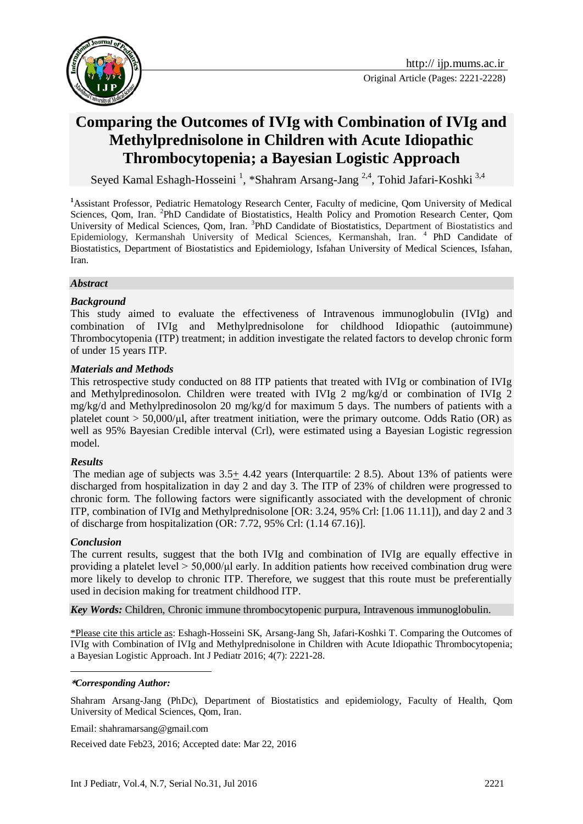

# **Comparing the Outcomes of IVIg with Combination of IVIg and [Methylprednisolone in Children with Acute Idiopathic](http://www.ncbi.nlm.nih.gov/pubmed/21331592)  [Thrombocytopenia;](http://www.ncbi.nlm.nih.gov/pubmed/21331592) a Bayesian Logistic Approach**

Seyed Kamal Eshagh-Hosseini<sup>1</sup>, \*Shahram Arsang-Jang<sup>2,4</sup>, Tohid Jafari-Koshki<sup>3,4</sup>

**<sup>1</sup>**Assistant Professor, Pediatric Hematology Research Center, Faculty of medicine, Qom University of Medical Sciences, Qom, Iran. <sup>2</sup>PhD Candidate of Biostatistics, Health Policy and Promotion Research Center, Qom University of Medical Sciences, Qom, Iran. <sup>3</sup>PhD Candidate of Biostatistics, Department of Biostatistics and Epidemiology, Kermanshah University of Medical Sciences, Kermanshah, Iran.<sup>4</sup> PhD Candidate of Biostatistics, Department of Biostatistics and Epidemiology, Isfahan University of Medical Sciences, Isfahan, Iran.

#### *Abstract*

#### *Background*

This study aimed to evaluate the effectiveness of Intravenous immunoglobulin (IVIg) and combination of IVIg and Methylprednisolone for childhood Idiopathic (autoimmune) Thrombocytopenia (ITP) treatment; in addition investigate the related factors to develop chronic form of under 15 years ITP.

#### *Materials and Methods*

This retrospective study conducted on 88 ITP patients that treated with IVIg or combination of IVIg and Methylpredinosolon. Children were treated with IVIg 2 mg/kg/d or combination of IVIg 2 mg/kg/d and Methylpredinosolon 20 mg/kg/d for maximum 5 days. The numbers of patients with a platelet count > 50,000/μl, after treatment initiation, were the primary outcome. Odds Ratio (OR) as well as 95% Bayesian Credible interval (Crl), were estimated using a Bayesian Logistic regression model.

#### *Results*

The median age of subjects was 3.5+ 4.42 years (Interquartile: 2 8.5). About 13% of patients were discharged from hospitalization in day 2 and day 3. The ITP of 23% of children were progressed to chronic form. The following factors were significantly associated with the development of chronic ITP, combination of IVIg and Methylprednisolone [OR: 3.24, 95% Crl: [1.06 11.11]), and day 2 and 3 of discharge from hospitalization (OR: 7.72, 95% Crl: (1.14 67.16)].

#### *Conclusion*

The current results, suggest that the both IVIg and combination of IVIg are equally effective in providing a platelet level  $> 50,000/\mu$  early. In addition patients how received combination drug were more likely to develop to chronic ITP. Therefore, we suggest that this route must be preferentially used in decision making for treatment childhood ITP.

*Key Words:* Children, Chronic immune thrombocytopenic purpura, Intravenous immunoglobulin.

\*Please cite this article as: Eshagh-Hosseini SK, Arsang-Jang Sh, Jafari-Koshki T. Comparing the Outcomes of IVIg with Combination of IVIg and [Methylprednisolone in Children with Acute Idiopathic Thrombocytopenia;](http://www.ncbi.nlm.nih.gov/pubmed/21331592) a Bayesian Logistic Approach. Int J Pediatr 2016; 4(7): 2221-28.

#### 1 **\****Corresponding Author:*

Shahram Arsang-Jang (PhDc), Department of Biostatistics and epidemiology, Faculty of Health, Qom University of Medical Sciences, Qom, Iran.

Email: [shahramarsang@gmail.com](mailto:shahramarsang@gmail.com)

Received date Feb23, 2016; Accepted date: Mar 22, 2016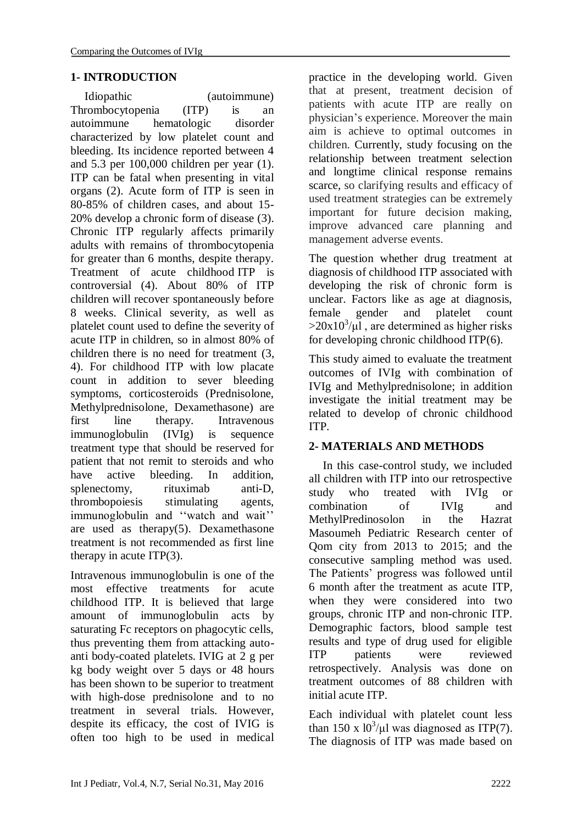## **1- INTRODUCTION**

Idiopathic (autoimmune) Thrombocytopenia (ITP) is an autoimmune hematologic disorder characterized by low platelet count and bleeding. Its incidence reported between 4 and 5.3 per 100,000 children per year (1). ITP can be fatal when presenting in vital organs (2). Acute form of ITP is seen in 80-85% of children cases, and about 15- 20% develop a chronic form of disease (3). Chronic ITP regularly affects primarily adults with remains of thrombocytopenia for greater than 6 months, despite therapy. Treatment of acute childhood ITP is controversial (4). About 80% of ITP children will recover spontaneously before 8 weeks. Clinical severity, as well as platelet count used to define the severity of acute ITP in children, so in almost 80% of children there is no need for treatment (3, 4). For childhood ITP with low placate count in addition to sever bleeding symptoms, corticosteroids (Prednisolone, Methylprednisolone, Dexamethasone) are first line therapy. Intravenous immunoglobulin (IVIg) is sequence treatment type that should be reserved for patient that not remit to steroids and who have active bleeding. In addition, splenectomy, rituximab anti-D, thrombopoiesis stimulating agents, immunoglobulin and ''watch and wait'' are used as therapy $(5)$ . Dexamethasone treatment is not recommended as first line therapy in acute  $ITP(3)$ .

Intravenous immunoglobulin is one of the most effective treatments for acute childhood ITP. It is believed that large amount of immunoglobulin acts by saturating Fc receptors on phagocytic cells, thus preventing them from attacking autoanti body-coated platelets. IVIG at 2 g per kg body weight over 5 days or 48 hours has been shown to be superior to treatment with high-dose prednisolone and to no treatment in several trials. However, despite its efficacy, the cost of IVIG is often too high to be used in medical practice in the developing world. Given that at present, treatment decision of patients with acute ITP are really on physician's experience. Moreover the main aim is achieve to optimal outcomes in children. Currently, study focusing on the relationship between treatment selection and longtime clinical response remains scarce, so clarifying results and efficacy of used treatment strategies can be extremely important for future decision making, improve advanced care planning and management adverse events.

The question whether drug treatment at diagnosis of childhood ITP associated with developing the risk of chronic form is unclear. Factors like as age at diagnosis, female gender and platelet count  $>20x10^3/\mu$ , are determined as higher risks for developing chronic childhood ITP(6).

This study aimed to evaluate the treatment outcomes of IVIg with combination of IVIg and Methylprednisolone; in addition investigate the initial treatment may be related to develop of chronic childhood ITP.

## **2- MATERIALS AND METHODS**

In this case-control study, we included all children with ITP into our retrospective study who treated with IVIg or combination of IVIg and MethylPredinosolon in the Hazrat Masoumeh Pediatric Research center of Qom city from 2013 to 2015; and the consecutive sampling method was used. The Patients' progress was followed until 6 month after the treatment as acute ITP, when they were considered into two groups, chronic ITP and non-chronic ITP. Demographic factors, blood sample test results and type of drug used for eligible ITP patients were reviewed retrospectively. Analysis was done on treatment outcomes of 88 children with initial acute ITP.

Each individual with platelet count less than 150 x  $10^3/\mu$ l was diagnosed as ITP(7). The diagnosis of ITP was made based on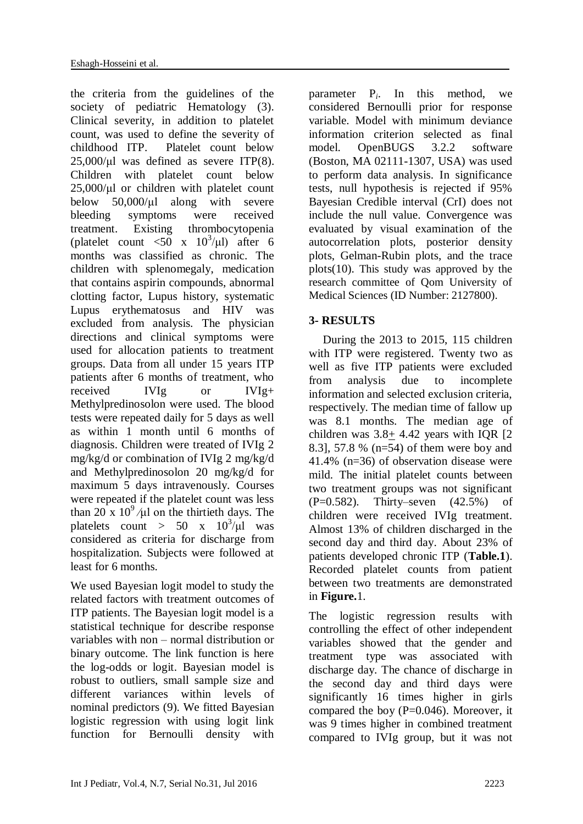the criteria from the guidelines of the society of pediatric Hematology (3). Clinical severity, in addition to platelet count, was used to define the severity of childhood ITP. Platelet count below  $25,000/\mu$ l was defined as severe ITP(8). Children with platelet count below 25,000/μl or children with platelet count below 50,000/μl along with severe bleeding symptoms were received treatment. Existing thrombocytopenia (platelet count  $\langle 50 \times 10^3/\mu l \rangle$  after 6 months was classified as chronic. The children with splenomegaly, medication that contains aspirin compounds, abnormal clotting factor, Lupus history, systematic Lupus erythematosus and HIV was excluded from analysis. The physician directions and clinical symptoms were used for allocation patients to treatment groups. Data from all under 15 years ITP patients after 6 months of treatment, who received IVIg or IVIg+ Methylpredinosolon were used. The blood tests were repeated daily for 5 days as well as within 1 month until 6 months of diagnosis. Children were treated of IVIg 2 mg/kg/d or combination of IVIg 2 mg/kg/d and Methylpredinosolon 20 mg/kg/d for maximum 5 days intravenously. Courses were repeated if the platelet count was less than  $20 \times 10^9 / \mu l$  on the thirtieth days. The platelets count > 50 x  $10^3/\mu$ l was considered as criteria for discharge from hospitalization. Subjects were followed at least for 6 months.

We used Bayesian logit model to study the related factors with treatment outcomes of ITP patients. The Bayesian logit model is a statistical technique for describe response variables with non – normal distribution or binary outcome. The link function is here the log-odds or logit. Bayesian model is robust to outliers, small sample size and different variances within levels of nominal predictors (9). We fitted Bayesian logistic regression with using logit link function for Bernoulli density with

parameter P*i*. In this method, we considered Bernoulli prior for response variable. Model with minimum deviance information criterion selected as final model. OpenBUGS 3.2.2 software (Boston, MA 02111-1307, USA) was used to perform data analysis. In significance tests, null hypothesis is rejected if 95% Bayesian Credible interval (CrI) does not include the null value. Convergence was evaluated by visual examination of the autocorrelation plots, posterior density plots, Gelman-Rubin plots, and the trace plots(10). This study was approved by the research committee of Qom University of Medical Sciences (ID Number: 2127800).

## **3- RESULTS**

During the 2013 to 2015, 115 children with ITP were registered. Twenty two as well as five ITP patients were excluded from analysis due to incomplete information and selected exclusion criteria, respectively. The median time of fallow up was 8.1 months. The median age of children was  $3.8 \pm 4.42$  years with IQR [2] 8.3], 57.8 % (n=54) of them were boy and 41.4% (n=36) of observation disease were mild. The initial platelet counts between two treatment groups was not significant (P=0.582). Thirty–seven (42.5%) of children were received IVIg treatment. Almost 13% of children discharged in the second day and third day. About 23% of patients developed chronic ITP (**Table.1**). Recorded platelet counts from patient between two treatments are demonstrated in **Figure.**1.

The logistic regression results with controlling the effect of other independent variables showed that the gender and treatment type was associated with discharge day. The chance of discharge in the second day and third days were significantly 16 times higher in girls compared the boy (P=0.046). Moreover, it was 9 times higher in combined treatment compared to IVIg group, but it was not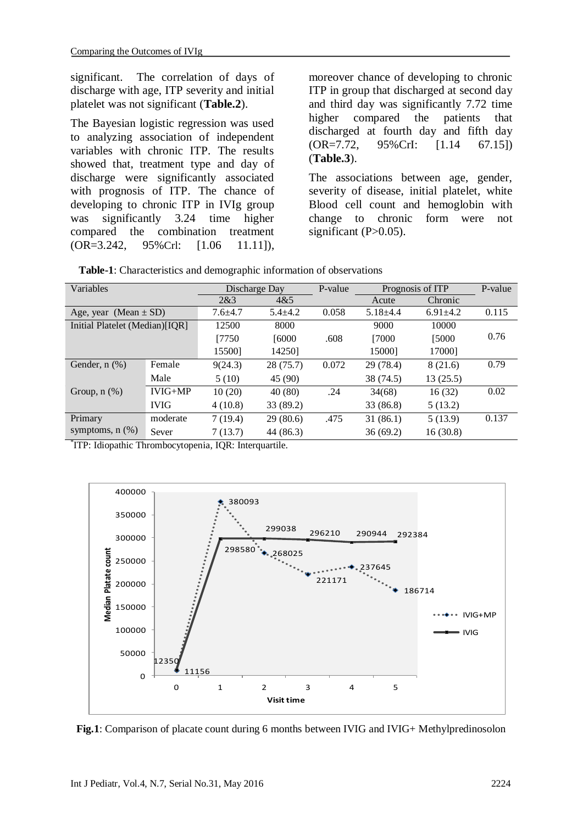significant. The correlation of days of discharge with age, ITP severity and initial platelet was not significant (**Table.2**).

The Bayesian logistic regression was used to analyzing association of independent variables with chronic ITP. The results showed that, treatment type and day of discharge were significantly associated with prognosis of ITP. The chance of developing to chronic ITP in IVIg group was significantly 3.24 time higher compared the combination treatment (OR=3.242, 95%Crl: [1.06 11.11]),

moreover chance of developing to chronic ITP in group that discharged at second day and third day was significantly 7.72 time higher compared the patients that discharged at fourth day and fifth day (OR=7.72, 95%CrI: [1.14 67.15]) (**Table.3**).

The associations between age, gender, severity of disease, initial platelet, white Blood cell count and hemoglobin with change to chronic form were not significant  $(P>0.05)$ .

| Variables                      |             | Discharge Day |             | P-value | Prognosis of ITP |                | P-value |
|--------------------------------|-------------|---------------|-------------|---------|------------------|----------------|---------|
|                                |             | 2&3           | 4&5         |         | Acute            | Chronic        |         |
| Age, year (Mean $\pm$ SD)      |             | $7.6 + 4.7$   | $5.4 + 4.2$ | 0.058   | $5.18{\pm}4.4$   | $6.91 \pm 4.2$ | 0.115   |
| Initial Platelet (Median)[IQR] |             | 12500         | 8000        |         | 9000             | 10000          |         |
|                                |             | [7750]        | [6000       | .608    | [7000]           | [5000          | 0.76    |
|                                |             | 15500]        | 14250]      |         | 15000]           | 17000]         |         |
| Gender, n (%)                  | Female      | 9(24.3)       | 28(75.7)    | 0.072   | 29 (78.4)        | 8(21.6)        | 0.79    |
|                                | Male        | 5(10)         | 45 (90)     |         | 38 (74.5)        | 13(25.5)       |         |
| Group, $n$ $(\%)$              | $IVIG+MP$   | 10(20)        | 40(80)      | .24     | 34(68)           | 16(32)         | 0.02    |
|                                | <b>IVIG</b> | 4(10.8)       | 33 (89.2)   |         | 33 (86.8)        | 5(13.2)        |         |
| Primary                        | moderate    | 7(19.4)       | 29(80.6)    | .475    | 31(86.1)         | 5(13.9)        | 0.137   |
| symptoms, $n$ $(\%)$           | Sever       | 7(13.7)       | 44 (86.3)   |         | 36(69.2)         | 16(30.8)       |         |

**Table-1**: Characteristics and demographic information of observations

\* ITP: Idiopathic Thrombocytopenia, IQR: Interquartile.



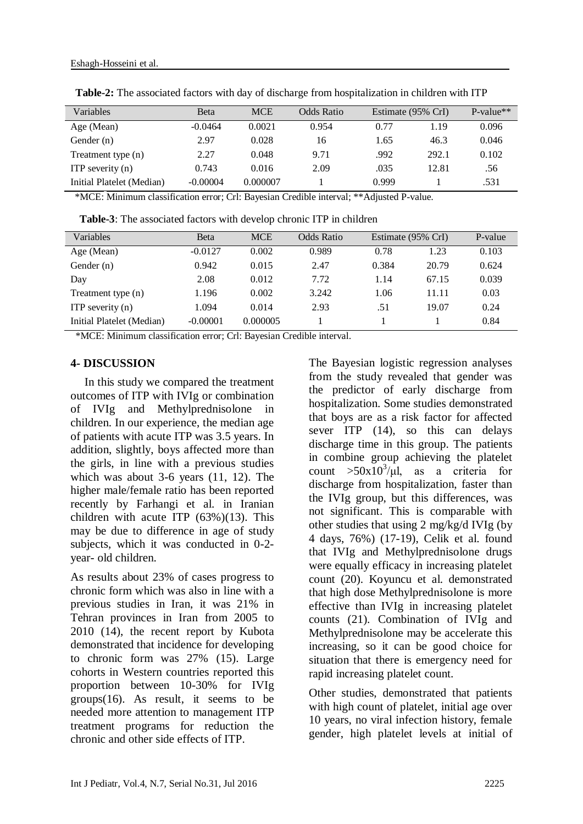| Variables                 | <b>B</b> eta | <b>MCE</b> | Odds Ratio | Estimate (95% CrI) |       | P-value** |
|---------------------------|--------------|------------|------------|--------------------|-------|-----------|
| Age (Mean)                | $-0.0464$    | 0.0021     | 0.954      | 0.77               | 1.19  | 0.096     |
| Gender (n)                | 2.97         | 0.028      | 16         | 1.65               | 46.3  | 0.046     |
| Treatment type (n)        | 2.27         | 0.048      | 9.71       | .992               | 292.1 | 0.102     |
| ITP severity $(n)$        | 0.743        | 0.016      | 2.09       | .035               | 12.81 | .56       |
| Initial Platelet (Median) | $-0.00004$   | 0.000007   |            | 0.999              |       | .531      |

**Table-2:** The associated factors with day of discharge from hospitalization in children with ITP

\*MCE: Minimum classification error; Crl: Bayesian Credible interval; \*\*Adjusted P-value.

**Table-3**: The associated factors with develop chronic ITP in children

| <b>Variables</b>          | <b>B</b> eta | <b>MCE</b> | Odds Ratio | Estimate (95% CrI) |       | P-value |
|---------------------------|--------------|------------|------------|--------------------|-------|---------|
| Age (Mean)                | $-0.0127$    | 0.002      | 0.989      | 0.78               | 1.23  | 0.103   |
| Gender $(n)$              | 0.942        | 0.015      | 2.47       | 0.384              | 20.79 | 0.624   |
| Day                       | 2.08         | 0.012      | 7.72       | 1.14               | 67.15 | 0.039   |
| Treatment type (n)        | 1.196        | 0.002      | 3.242      | 1.06               | 11.11 | 0.03    |
| ITP severity $(n)$        | 1.094        | 0.014      | 2.93       | .51                | 19.07 | 0.24    |
| Initial Platelet (Median) | $-0.00001$   | 0.000005   |            |                    |       | 0.84    |

\*MCE: Minimum classification error; Crl: Bayesian Credible interval.

#### **4- DISCUSSION**

In this study we compared the treatment outcomes of ITP with IVIg or combination of IVIg and Methylprednisolone in children. In our experience, the median age of patients with acute ITP was 3.5 years. In addition, slightly, boys affected more than the girls, in line with a previous studies which was about 3-6 years (11, 12). The higher male/female ratio has been reported recently by Farhangi et al. in Iranian children with acute ITP  $(63%)$  $(13)$ . This may be due to difference in age of study subjects, which it was conducted in 0-2 year- old children.

As results about 23% of cases progress to chronic form which was also in line with a previous studies in Iran, it was 21% in Tehran provinces in Iran from 2005 to 2010 (14), the recent report by Kubota demonstrated that incidence for developing to chronic form was 27% (15). Large cohorts in Western countries reported this proportion between 10-30% for IVIg groups(16). As result, it seems to be needed more attention to management ITP treatment programs for reduction the chronic and other side effects of ITP.

The Bayesian logistic regression analyses from the study revealed that gender was the predictor of early discharge from hospitalization. Some studies demonstrated that boys are as a risk factor for affected sever ITP (14), so this can delays discharge time in this group. The patients in combine group achieving the platelet count  $>50x10^3/\mu$ , as a criteria for discharge from hospitalization, faster than the IVIg group, but this differences, was not significant. This is comparable with other studies that using 2 mg/kg/d IVIg (by 4 days, 76%) (17-19), Celik et al. found that IVIg and Methylprednisolone drugs were equally efficacy in increasing platelet count (20). Koyuncu et al. demonstrated that high dose Methylprednisolone is more effective than IVIg in increasing platelet counts (21). Combination of IVIg and Methylprednisolone may be accelerate this increasing, so it can be good choice for situation that there is emergency need for rapid increasing platelet count.

Other studies, demonstrated that patients with high count of platelet, initial age over 10 years, no viral infection history, female gender, high platelet levels at initial of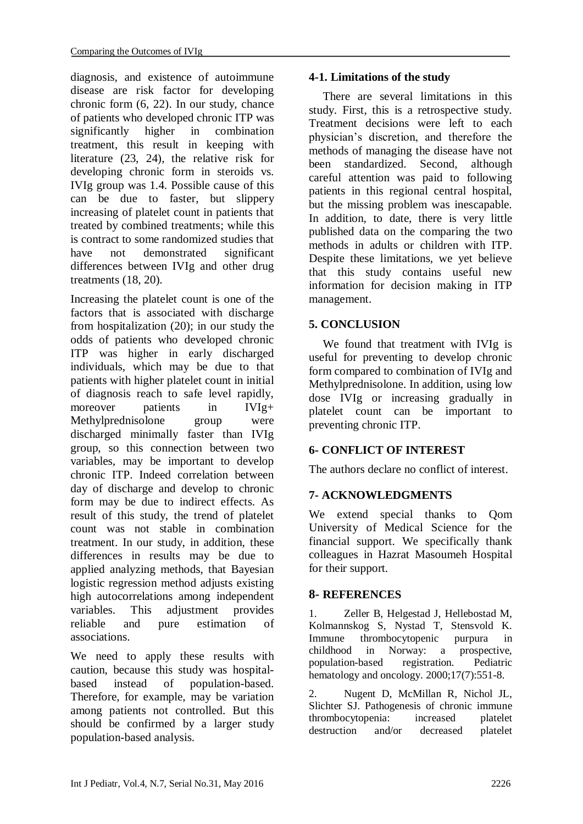diagnosis, and existence of autoimmune disease are risk factor for developing chronic form (6, 22). In our study, chance of patients who developed chronic ITP was significantly higher in combination treatment, this result in keeping with literature (23, 24), the relative risk for developing chronic form in steroids vs. IVIg group was 1.4. Possible cause of this can be due to faster, but slippery increasing of platelet count in patients that treated by combined treatments; while this is contract to some randomized studies that have not demonstrated significant differences between IVIg and other drug treatments (18, 20).

Increasing the platelet count is one of the factors that is associated with discharge from hospitalization (20); in our study the odds of patients who developed chronic ITP was higher in early discharged individuals, which may be due to that patients with higher platelet count in initial of diagnosis reach to safe level rapidly, moreover patients in IVI<sub>g+</sub> Methylprednisolone group were discharged minimally faster than IVIg group, so this connection between two variables, may be important to develop chronic ITP. Indeed correlation between day of discharge and develop to chronic form may be due to indirect effects. As result of this study, the trend of platelet count was not stable in combination treatment. In our study, in addition, these differences in results may be due to applied analyzing methods, that Bayesian logistic regression method adjusts existing high autocorrelations among independent variables. This adjustment provides reliable and pure estimation of associations.

We need to apply these results with caution, because this study was hospitalbased instead of population-based. Therefore, for example, may be variation among patients not controlled. But this should be confirmed by a larger study population-based analysis.

## **4-1. Limitations of the study**

There are several limitations in this study. First, this is a retrospective study. Treatment decisions were left to each physician's discretion, and therefore the methods of managing the disease have not been standardized. Second, although careful attention was paid to following patients in this regional central hospital, but the missing problem was inescapable. In addition, to date, there is very little published data on the comparing the two methods in adults or children with ITP. Despite these limitations, we yet believe that this study contains useful new information for decision making in ITP management.

## **5. CONCLUSION**

We found that treatment with IVIg is useful for preventing to develop chronic form compared to combination of IVIg and Methylprednisolone. In addition, using low dose IVIg or increasing gradually in platelet count can be important to preventing chronic ITP.

## **6- CONFLICT OF INTEREST**

The authors declare no conflict of interest.

## **7- ACKNOWLEDGMENTS**

We extend special thanks to Qom University of Medical Science for the financial support. We specifically thank colleagues in Hazrat Masoumeh Hospital for their support.

## **8- REFERENCES**

1. Zeller B, Helgestad J, Hellebostad M, Kolmannskog S, Nystad T, Stensvold K. Immune thrombocytopenic purpura in childhood in Norway: a prospective, population-based registration. Pediatric hematology and oncology. 2000;17(7):551-8.

2. Nugent D, McMillan R, Nichol JL, Slichter SJ. Pathogenesis of chronic immune thrombocytopenia: increased platelet destruction and/or decreased platelet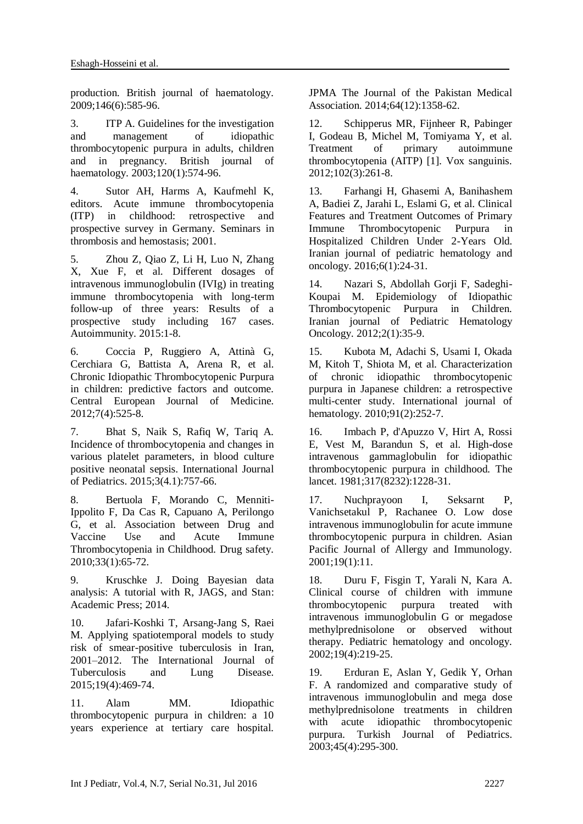production. British journal of haematology. 2009;146(6):585-96.

3. ITP A. Guidelines for the investigation and management of idiopathic thrombocytopenic purpura in adults, children and in pregnancy. British journal of haematology. 2003;120(1):574-96.

4. Sutor AH, Harms A, Kaufmehl K, editors. Acute immune thrombocytopenia (ITP) in childhood: retrospective and prospective survey in Germany. Seminars in thrombosis and hemostasis; 2001.

5. Zhou Z, Qiao Z, Li H, Luo N, Zhang X, Xue F, et al. Different dosages of intravenous immunoglobulin (IVIg) in treating immune thrombocytopenia with long-term follow-up of three years: Results of a prospective study including 167 cases. Autoimmunity. 2015:1-8.

6. Coccia P, Ruggiero A, Attinà G, Cerchiara G, Battista A, Arena R, et al. Chronic Idiopathic Thrombocytopenic Purpura in children: predictive factors and outcome. Central European Journal of Medicine. 2012;7(4):525-8.

7. Bhat S, Naik S, Rafiq W, Tariq A. Incidence of thrombocytopenia and changes in various platelet parameters, in blood culture positive neonatal sepsis. International Journal of Pediatrics. 2015;3(4.1):757-66.

8. Bertuola F, Morando C, Menniti-Ippolito F, Da Cas R, Capuano A, Perilongo G, et al. Association between Drug and Vaccine Use and Acute Immune Thrombocytopenia in Childhood. Drug safety. 2010;33(1):65-72.

9. Kruschke J. Doing Bayesian data analysis: A tutorial with R, JAGS, and Stan: Academic Press; 2014.

10. Jafari-Koshki T, Arsang-Jang S, Raei M. Applying spatiotemporal models to study risk of smear-positive tuberculosis in Iran, 2001–2012. The International Journal of Tuberculosis and Lung Disease. 2015;19(4):469-74.

11. Alam MM. Idiopathic thrombocytopenic purpura in children: a 10 years experience at tertiary care hospital.

JPMA The Journal of the Pakistan Medical Association. 2014;64(12):1358-62.

12. Schipperus MR, Fijnheer R, Pabinger I, Godeau B, Michel M, Tomiyama Y, et al. Treatment of primary autoimmune thrombocytopenia (AITP) [1]. Vox sanguinis. 2012;102(3):261-8.

13. Farhangi H, Ghasemi A, Banihashem A, Badiei Z, Jarahi L, Eslami G, et al. Clinical Features and Treatment Outcomes of Primary Immune Thrombocytopenic Purpura in Hospitalized Children Under 2-Years Old. Iranian journal of pediatric hematology and oncology. 2016;6(1):24-31.

14. Nazari S, Abdollah Gorji F, Sadeghi-Koupai M. Epidemiology of Idiopathic Thrombocytopenic Purpura in Children. Iranian journal of Pediatric Hematology Oncology. 2012;2(1):35-9.

15. Kubota M, Adachi S, Usami I, Okada M, Kitoh T, Shiota M, et al. Characterization of chronic idiopathic thrombocytopenic purpura in Japanese children: a retrospective multi-center study. International journal of hematology. 2010;91(2):252-7.

16. Imbach P, d'Apuzzo V, Hirt A, Rossi E, Vest M, Barandun S, et al. High-dose intravenous gammaglobulin for idiopathic thrombocytopenic purpura in childhood. The lancet. 1981;317(8232):1228-31.

17. Nuchprayoon I, Seksarnt P, Vanichsetakul P, Rachanee O. Low dose intravenous immunoglobulin for acute immune thrombocytopenic purpura in children. Asian Pacific Journal of Allergy and Immunology. 2001;19(1):11.

18. Duru F, Fisgin T, Yarali N, Kara A. Clinical course of children with immune thrombocytopenic purpura treated with intravenous immunoglobulin G or megadose methylprednisolone or observed without therapy. Pediatric hematology and oncology. 2002;19(4):219-25.

19. Erduran E, Aslan Y, Gedik Y, Orhan F. A randomized and comparative study of intravenous immunoglobulin and mega dose methylprednisolone treatments in children with acute idiopathic thrombocytopenic purpura. Turkish Journal of Pediatrics. 2003;45(4):295-300.